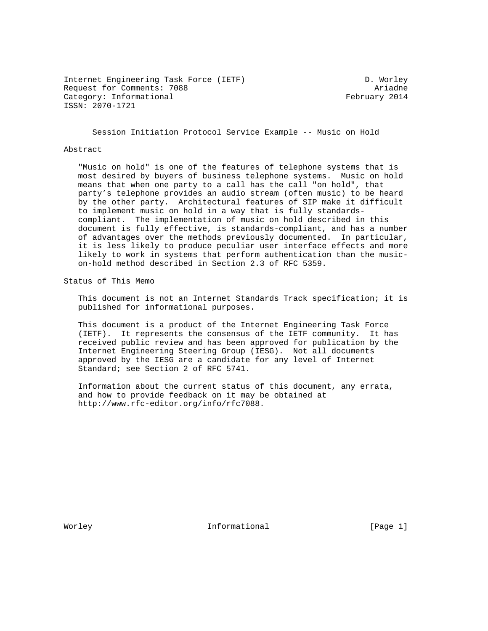Internet Engineering Task Force (IETF) D. Worley Request for Comments: 7088 Ariadne Category: Informational example of the February 2014 ISSN: 2070-1721

Session Initiation Protocol Service Example -- Music on Hold

#### Abstract

 "Music on hold" is one of the features of telephone systems that is most desired by buyers of business telephone systems. Music on hold means that when one party to a call has the call "on hold", that party's telephone provides an audio stream (often music) to be heard by the other party. Architectural features of SIP make it difficult to implement music on hold in a way that is fully standards compliant. The implementation of music on hold described in this document is fully effective, is standards-compliant, and has a number of advantages over the methods previously documented. In particular, it is less likely to produce peculiar user interface effects and more likely to work in systems that perform authentication than the music on-hold method described in Section 2.3 of RFC 5359.

Status of This Memo

 This document is not an Internet Standards Track specification; it is published for informational purposes.

 This document is a product of the Internet Engineering Task Force (IETF). It represents the consensus of the IETF community. It has received public review and has been approved for publication by the Internet Engineering Steering Group (IESG). Not all documents approved by the IESG are a candidate for any level of Internet Standard; see Section 2 of RFC 5741.

 Information about the current status of this document, any errata, and how to provide feedback on it may be obtained at http://www.rfc-editor.org/info/rfc7088.

Worley **Informational** [Page 1]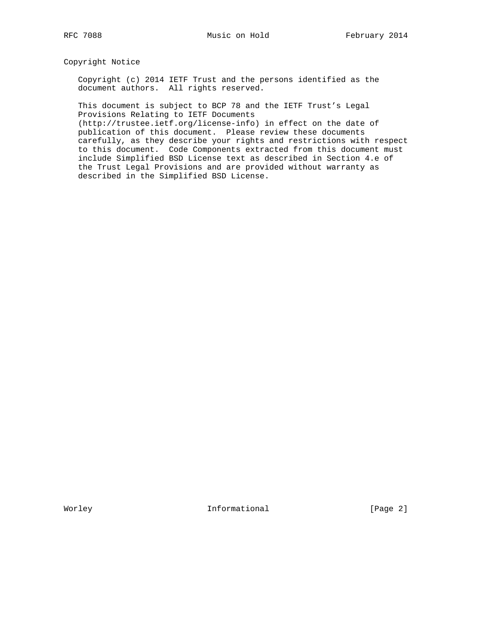Copyright Notice

 Copyright (c) 2014 IETF Trust and the persons identified as the document authors. All rights reserved.

 This document is subject to BCP 78 and the IETF Trust's Legal Provisions Relating to IETF Documents

 (http://trustee.ietf.org/license-info) in effect on the date of publication of this document. Please review these documents carefully, as they describe your rights and restrictions with respect to this document. Code Components extracted from this document must include Simplified BSD License text as described in Section 4.e of the Trust Legal Provisions and are provided without warranty as described in the Simplified BSD License.

Worley **Informational** [Page 2]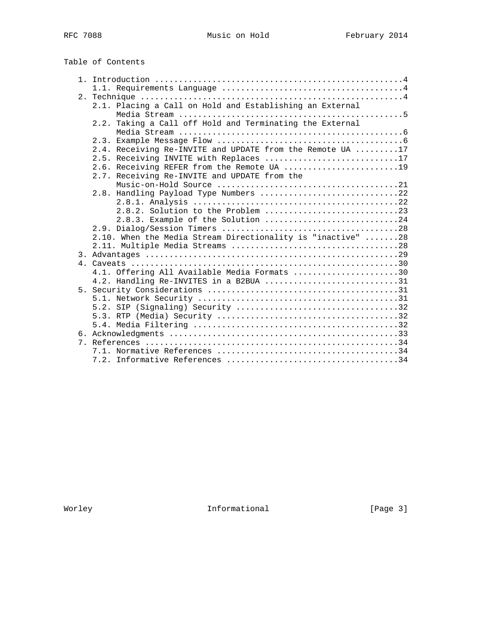# Table of Contents

|  | 2.1. Placing a Call on Hold and Establishing an External    |
|--|-------------------------------------------------------------|
|  |                                                             |
|  | 2.2. Taking a Call off Hold and Terminating the External    |
|  |                                                             |
|  |                                                             |
|  | 2.4. Receiving Re-INVITE and UPDATE from the Remote UA 17   |
|  | 2.5. Receiving INVITE with Replaces 17                      |
|  | 2.6. Receiving REFER from the Remote UA 19                  |
|  | 2.7. Receiving Re-INVITE and UPDATE from the                |
|  |                                                             |
|  | 2.8. Handling Payload Type Numbers 22                       |
|  |                                                             |
|  | 2.8.2. Solution to the Problem 23                           |
|  | 2.8.3. Example of the Solution 24                           |
|  |                                                             |
|  | 2.10. When the Media Stream Directionality is "inactive" 28 |
|  |                                                             |
|  |                                                             |
|  |                                                             |
|  | 4.1. Offering All Available Media Formats 30                |
|  | 4.2. Handling Re-INVITES in a B2BUA 31                      |
|  |                                                             |
|  |                                                             |
|  |                                                             |
|  |                                                             |
|  |                                                             |
|  |                                                             |
|  |                                                             |
|  |                                                             |
|  |                                                             |

Worley **Informational** [Page 3]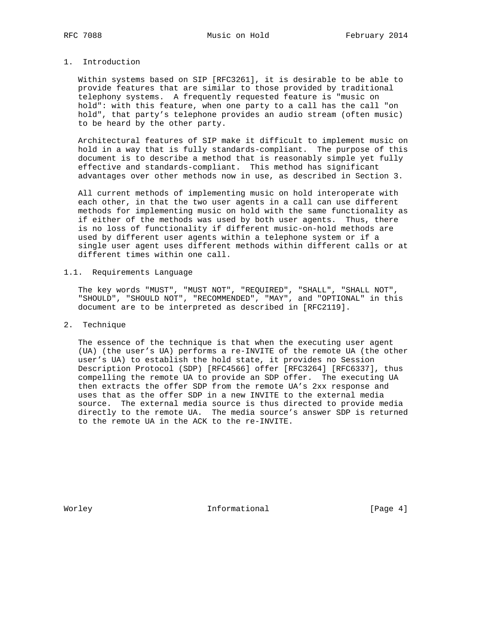# 1. Introduction

 Within systems based on SIP [RFC3261], it is desirable to be able to provide features that are similar to those provided by traditional telephony systems. A frequently requested feature is "music on hold": with this feature, when one party to a call has the call "on hold", that party's telephone provides an audio stream (often music) to be heard by the other party.

 Architectural features of SIP make it difficult to implement music on hold in a way that is fully standards-compliant. The purpose of this document is to describe a method that is reasonably simple yet fully effective and standards-compliant. This method has significant advantages over other methods now in use, as described in Section 3.

 All current methods of implementing music on hold interoperate with each other, in that the two user agents in a call can use different methods for implementing music on hold with the same functionality as if either of the methods was used by both user agents. Thus, there is no loss of functionality if different music-on-hold methods are used by different user agents within a telephone system or if a single user agent uses different methods within different calls or at different times within one call.

# 1.1. Requirements Language

 The key words "MUST", "MUST NOT", "REQUIRED", "SHALL", "SHALL NOT", "SHOULD", "SHOULD NOT", "RECOMMENDED", "MAY", and "OPTIONAL" in this document are to be interpreted as described in [RFC2119].

#### 2. Technique

 The essence of the technique is that when the executing user agent (UA) (the user's UA) performs a re-INVITE of the remote UA (the other user's UA) to establish the hold state, it provides no Session Description Protocol (SDP) [RFC4566] offer [RFC3264] [RFC6337], thus compelling the remote UA to provide an SDP offer. The executing UA then extracts the offer SDP from the remote UA's 2xx response and uses that as the offer SDP in a new INVITE to the external media source. The external media source is thus directed to provide media directly to the remote UA. The media source's answer SDP is returned to the remote UA in the ACK to the re-INVITE.

Worley **Informational** [Page 4]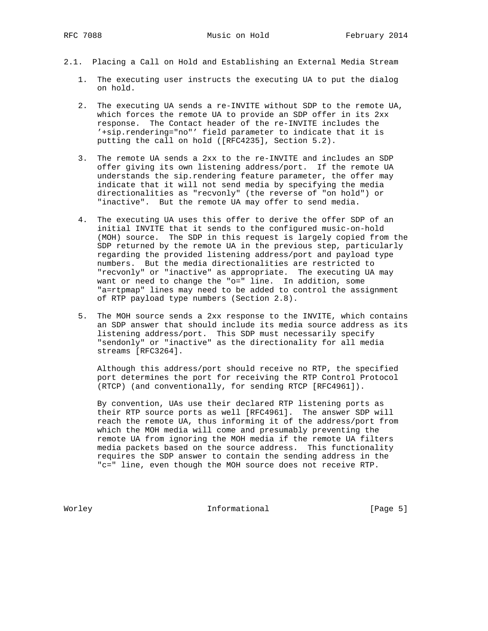- 2.1. Placing a Call on Hold and Establishing an External Media Stream
	- 1. The executing user instructs the executing UA to put the dialog on hold.
	- 2. The executing UA sends a re-INVITE without SDP to the remote UA, which forces the remote UA to provide an SDP offer in its 2xx response. The Contact header of the re-INVITE includes the '+sip.rendering="no"' field parameter to indicate that it is putting the call on hold ([RFC4235], Section 5.2).
	- 3. The remote UA sends a 2xx to the re-INVITE and includes an SDP offer giving its own listening address/port. If the remote UA understands the sip.rendering feature parameter, the offer may indicate that it will not send media by specifying the media directionalities as "recvonly" (the reverse of "on hold") or "inactive". But the remote UA may offer to send media.
- 4. The executing UA uses this offer to derive the offer SDP of an initial INVITE that it sends to the configured music-on-hold (MOH) source. The SDP in this request is largely copied from the SDP returned by the remote UA in the previous step, particularly regarding the provided listening address/port and payload type numbers. But the media directionalities are restricted to "recvonly" or "inactive" as appropriate. The executing UA may want or need to change the "o=" line. In addition, some "a=rtpmap" lines may need to be added to control the assignment of RTP payload type numbers (Section 2.8).
	- 5. The MOH source sends a 2xx response to the INVITE, which contains an SDP answer that should include its media source address as its listening address/port. This SDP must necessarily specify "sendonly" or "inactive" as the directionality for all media streams [RFC3264].

 Although this address/port should receive no RTP, the specified port determines the port for receiving the RTP Control Protocol (RTCP) (and conventionally, for sending RTCP [RFC4961]).

 By convention, UAs use their declared RTP listening ports as their RTP source ports as well [RFC4961]. The answer SDP will reach the remote UA, thus informing it of the address/port from which the MOH media will come and presumably preventing the remote UA from ignoring the MOH media if the remote UA filters media packets based on the source address. This functionality requires the SDP answer to contain the sending address in the "c=" line, even though the MOH source does not receive RTP.

Worley **Informational** [Page 5]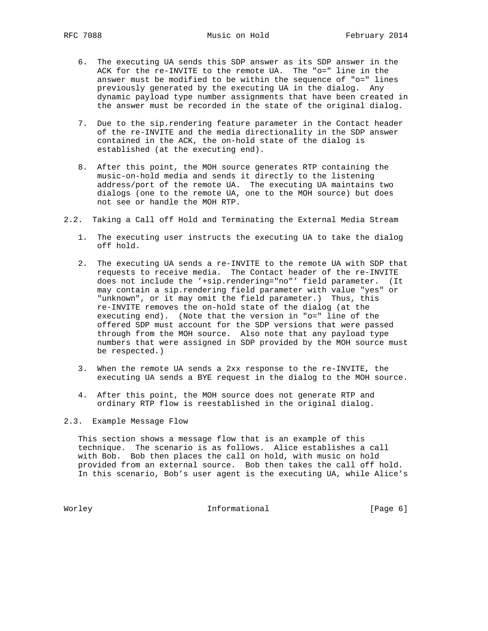- 6. The executing UA sends this SDP answer as its SDP answer in the ACK for the re-INVITE to the remote UA. The "o=" line in the answer must be modified to be within the sequence of "o=" lines previously generated by the executing UA in the dialog. Any dynamic payload type number assignments that have been created in the answer must be recorded in the state of the original dialog.
- 7. Due to the sip.rendering feature parameter in the Contact header of the re-INVITE and the media directionality in the SDP answer contained in the ACK, the on-hold state of the dialog is established (at the executing end).
- 8. After this point, the MOH source generates RTP containing the music-on-hold media and sends it directly to the listening address/port of the remote UA. The executing UA maintains two dialogs (one to the remote UA, one to the MOH source) but does not see or handle the MOH RTP.
- 2.2. Taking a Call off Hold and Terminating the External Media Stream
	- 1. The executing user instructs the executing UA to take the dialog off hold.
	- 2. The executing UA sends a re-INVITE to the remote UA with SDP that requests to receive media. The Contact header of the re-INVITE does not include the '+sip.rendering="no"' field parameter. (It may contain a sip.rendering field parameter with value "yes" or "unknown", or it may omit the field parameter.) Thus, this re-INVITE removes the on-hold state of the dialog (at the executing end). (Note that the version in "o=" line of the offered SDP must account for the SDP versions that were passed through from the MOH source. Also note that any payload type numbers that were assigned in SDP provided by the MOH source must be respected.)
	- 3. When the remote UA sends a 2xx response to the re-INVITE, the executing UA sends a BYE request in the dialog to the MOH source.
	- 4. After this point, the MOH source does not generate RTP and ordinary RTP flow is reestablished in the original dialog.

#### 2.3. Example Message Flow

 This section shows a message flow that is an example of this technique. The scenario is as follows. Alice establishes a call with Bob. Bob then places the call on hold, with music on hold provided from an external source. Bob then takes the call off hold. In this scenario, Bob's user agent is the executing UA, while Alice's

Worley **Informational Informational** [Page 6]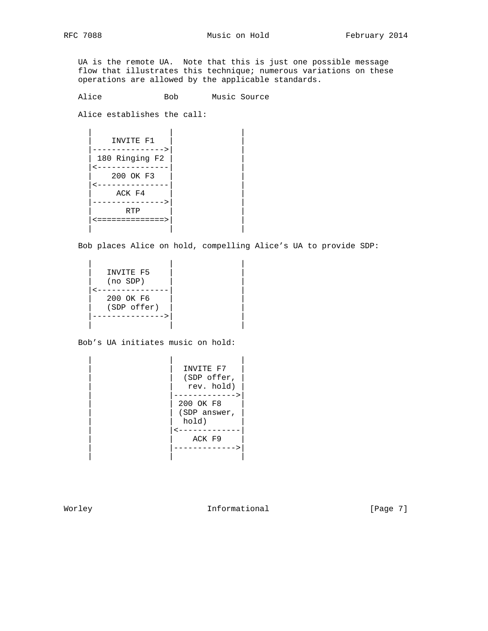UA is the remote UA. Note that this is just one possible message flow that illustrates this technique; numerous variations on these operations are allowed by the applicable standards.

Alice Bob Music Source

Alice establishes the call:

| INVITE F1      |  |
|----------------|--|
| - - - - -      |  |
| 180 Ringing F2 |  |
| 200 OK F3      |  |
|                |  |
| ACK F4         |  |
| ---->          |  |
| RTP            |  |
| =============> |  |
|                |  |

Bob places Alice on hold, compelling Alice's UA to provide SDP:

| INVITE F5<br>$(no$ $SDP)$ |  |
|---------------------------|--|
| 200 OK F6<br>(SDP offer)  |  |

Bob's UA initiates music on hold:

|  | INVITE F7<br>(SDP offer,<br>rev. hold) |
|--|----------------------------------------|
|  | 200 OK F8<br>(SDP answer,<br>hold)     |
|  | ACK F9                                 |

Worley **Informational** [Page 7]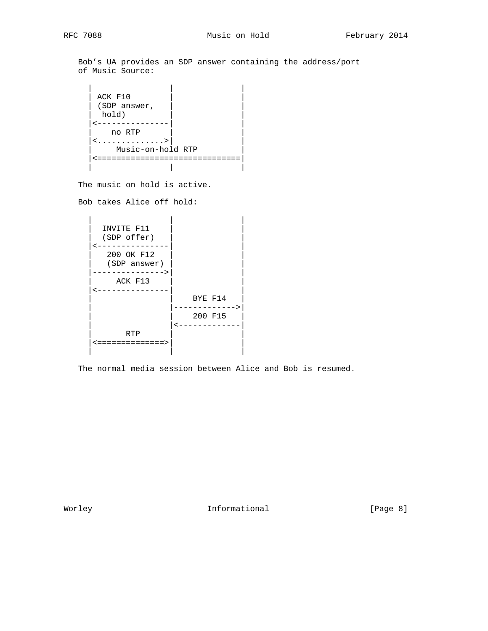Bob's UA provides an SDP answer containing the address/port of Music Source:

```
 | | |
    ACK F10
    (SDP answer,
    hold)
     |<---------------| |
       | no RTP | |
   |\!\! \leq \dots \dots \dots \dots \dots \rangle |\!\! \> | Music-on-hold RTP |
     |<==============================|
| | |
```
The music on hold is active.

Bob takes Alice off hold:

| INVITE F11    |         |
|---------------|---------|
| (SDP offer)   |         |
|               |         |
| 200 OK F12    |         |
| (SDP answer)  |         |
| ----->        |         |
| ACK F13       |         |
|               |         |
|               | BYE F14 |
|               |         |
|               | 200 F15 |
|               |         |
| RTP           |         |
| :===========> |         |
|               |         |

The normal media session between Alice and Bob is resumed.

Worley **Informational Informational** [Page 8]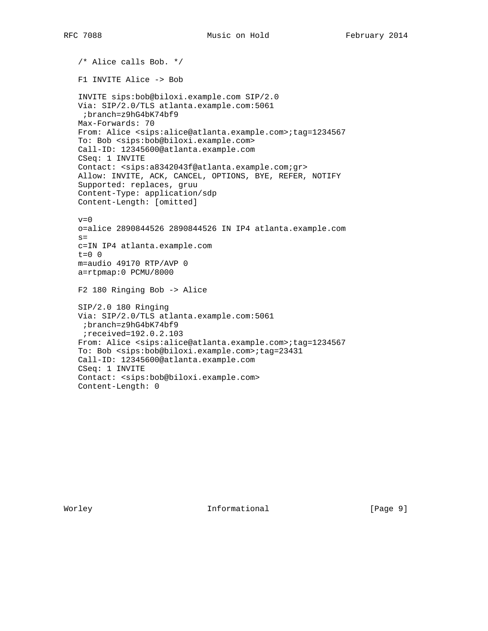/\* Alice calls Bob. \*/ F1 INVITE Alice -> Bob INVITE sips:bob@biloxi.example.com SIP/2.0 Via: SIP/2.0/TLS atlanta.example.com:5061 ;branch=z9hG4bK74bf9 Max-Forwards: 70 From: Alice <sips:alice@atlanta.example.com>;tag=1234567 To: Bob <sips:bob@biloxi.example.com> Call-ID: 12345600@atlanta.example.com CSeq: 1 INVITE Contact: <sips:a8342043f@atlanta.example.com;gr> Allow: INVITE, ACK, CANCEL, OPTIONS, BYE, REFER, NOTIFY Supported: replaces, gruu Content-Type: application/sdp Content-Length: [omitted]  $v=0$  o=alice 2890844526 2890844526 IN IP4 atlanta.example.com  $s=$  c=IN IP4 atlanta.example.com t=0 0 m=audio 49170 RTP/AVP 0 a=rtpmap:0 PCMU/8000 F2 180 Ringing Bob -> Alice SIP/2.0 180 Ringing Via: SIP/2.0/TLS atlanta.example.com:5061 ;branch=z9hG4bK74bf9 ;received=192.0.2.103 From: Alice <sips:alice@atlanta.example.com>;tag=1234567 To: Bob <sips:bob@biloxi.example.com>;tag=23431 Call-ID: 12345600@atlanta.example.com CSeq: 1 INVITE Contact: <sips:bob@biloxi.example.com> Content-Length: 0

Worley **Informational Informational** [Page 9]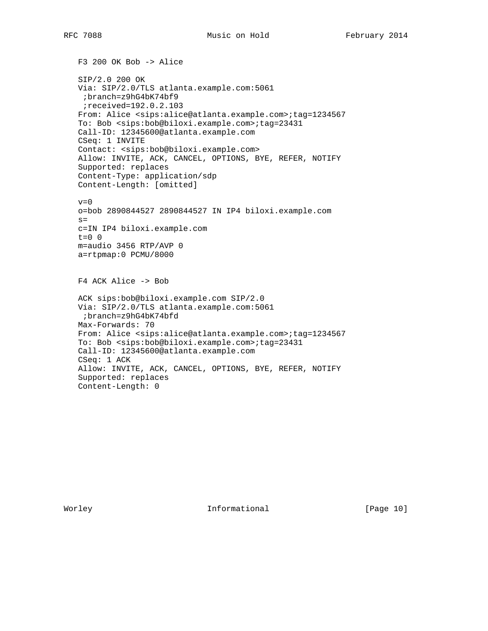F3 200 OK Bob -> Alice SIP/2.0 200 OK Via: SIP/2.0/TLS atlanta.example.com:5061 ;branch=z9hG4bK74bf9 ;received=192.0.2.103 From: Alice <sips:alice@atlanta.example.com>;tag=1234567 To: Bob <sips:bob@biloxi.example.com>;tag=23431 Call-ID: 12345600@atlanta.example.com CSeq: 1 INVITE Contact: <sips:bob@biloxi.example.com> Allow: INVITE, ACK, CANCEL, OPTIONS, BYE, REFER, NOTIFY Supported: replaces Content-Type: application/sdp Content-Length: [omitted]  $v=0$  o=bob 2890844527 2890844527 IN IP4 biloxi.example.com  $s=$  c=IN IP4 biloxi.example.com  $t=0$  0 m=audio 3456 RTP/AVP 0 a=rtpmap:0 PCMU/8000 F4 ACK Alice -> Bob ACK sips:bob@biloxi.example.com SIP/2.0 Via: SIP/2.0/TLS atlanta.example.com:5061 ;branch=z9hG4bK74bfd Max-Forwards: 70 From: Alice <sips:alice@atlanta.example.com>;tag=1234567 To: Bob <sips:bob@biloxi.example.com>;tag=23431 Call-ID: 12345600@atlanta.example.com CSeq: 1 ACK Allow: INVITE, ACK, CANCEL, OPTIONS, BYE, REFER, NOTIFY Supported: replaces Content-Length: 0

Worley **Informational** [Page 10]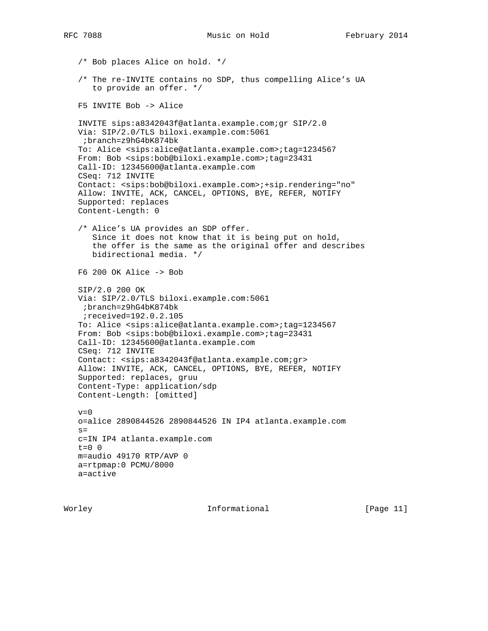/\* Bob places Alice on hold. \*/ /\* The re-INVITE contains no SDP, thus compelling Alice's UA to provide an offer. \*/ F5 INVITE Bob -> Alice INVITE sips:a8342043f@atlanta.example.com;gr SIP/2.0 Via: SIP/2.0/TLS biloxi.example.com:5061 ;branch=z9hG4bK874bk To: Alice <sips:alice@atlanta.example.com>;tag=1234567 From: Bob <sips:bob@biloxi.example.com>;tag=23431 Call-ID: 12345600@atlanta.example.com CSeq: 712 INVITE Contact: <sips:bob@biloxi.example.com>;+sip.rendering="no" Allow: INVITE, ACK, CANCEL, OPTIONS, BYE, REFER, NOTIFY Supported: replaces Content-Length: 0 /\* Alice's UA provides an SDP offer. Since it does not know that it is being put on hold, the offer is the same as the original offer and describes bidirectional media. \*/ F6 200 OK Alice -> Bob SIP/2.0 200 OK Via: SIP/2.0/TLS biloxi.example.com:5061 ;branch=z9hG4bK874bk ;received=192.0.2.105 To: Alice <sips:alice@atlanta.example.com>;tag=1234567 From: Bob <sips:bob@biloxi.example.com>;tag=23431 Call-ID: 12345600@atlanta.example.com CSeq: 712 INVITE Contact: <sips:a8342043f@atlanta.example.com;gr> Allow: INVITE, ACK, CANCEL, OPTIONS, BYE, REFER, NOTIFY Supported: replaces, gruu Content-Type: application/sdp Content-Length: [omitted]  $v=0$  o=alice 2890844526 2890844526 IN IP4 atlanta.example.com  $s=$  c=IN IP4 atlanta.example.com  $t=0$  0 m=audio 49170 RTP/AVP 0 a=rtpmap:0 PCMU/8000 a=active

Worley **Informational Informational** [Page 11]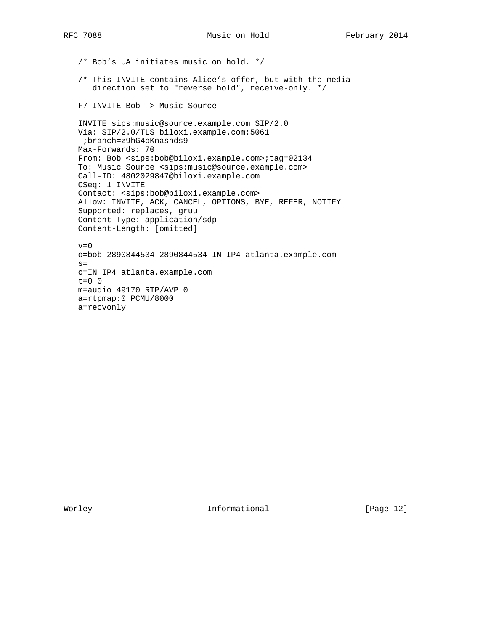/\* Bob's UA initiates music on hold. \*/

- /\* This INVITE contains Alice's offer, but with the media direction set to "reverse hold", receive-only. \*/
- F7 INVITE Bob -> Music Source

 INVITE sips:music@source.example.com SIP/2.0 Via: SIP/2.0/TLS biloxi.example.com:5061 ;branch=z9hG4bKnashds9 Max-Forwards: 70 From: Bob <sips:bob@biloxi.example.com>;tag=02134 To: Music Source <sips:music@source.example.com> Call-ID: 4802029847@biloxi.example.com CSeq: 1 INVITE Contact: <sips:bob@biloxi.example.com> Allow: INVITE, ACK, CANCEL, OPTIONS, BYE, REFER, NOTIFY Supported: replaces, gruu Content-Type: application/sdp Content-Length: [omitted]

 $v=0$  o=bob 2890844534 2890844534 IN IP4 atlanta.example.com  $s=$  c=IN IP4 atlanta.example.com t=0 0 m=audio 49170 RTP/AVP 0 a=rtpmap:0 PCMU/8000 a=recvonly

Worley **Informational** [Page 12]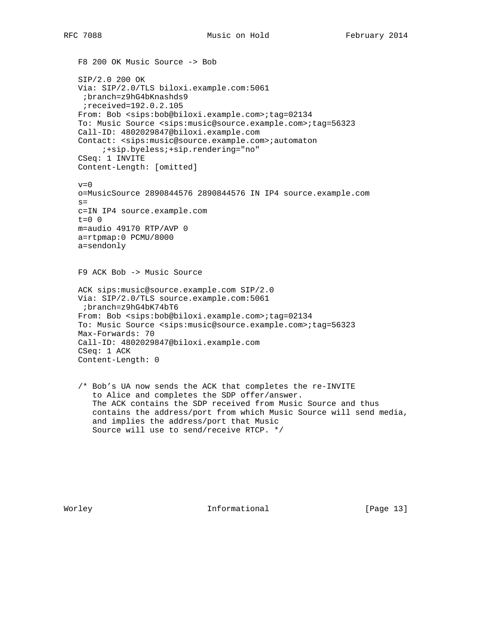F8 200 OK Music Source -> Bob SIP/2.0 200 OK Via: SIP/2.0/TLS biloxi.example.com:5061 ;branch=z9hG4bKnashds9 ;received=192.0.2.105 From: Bob <sips:bob@biloxi.example.com>;tag=02134 To: Music Source <sips:music@source.example.com>;tag=56323 Call-ID: 4802029847@biloxi.example.com Contact: <sips:music@source.example.com>;automaton ;+sip.byeless;+sip.rendering="no" CSeq: 1 INVITE Content-Length: [omitted]  $v=0$  o=MusicSource 2890844576 2890844576 IN IP4 source.example.com  $s=$  c=IN IP4 source.example.com  $t=0$  0 m=audio 49170 RTP/AVP 0 a=rtpmap:0 PCMU/8000 a=sendonly F9 ACK Bob -> Music Source ACK sips:music@source.example.com SIP/2.0 Via: SIP/2.0/TLS source.example.com:5061 ;branch=z9hG4bK74bT6 From: Bob <sips:bob@biloxi.example.com>;tag=02134 To: Music Source <sips:music@source.example.com>;tag=56323 Max-Forwards: 70 Call-ID: 4802029847@biloxi.example.com CSeq: 1 ACK Content-Length: 0 /\* Bob's UA now sends the ACK that completes the re-INVITE to Alice and completes the SDP offer/answer. The ACK contains the SDP received from Music Source and thus contains the address/port from which Music Source will send media, and implies the address/port that Music

Source will use to send/receive RTCP. \*/

Worley **Informational** [Page 13]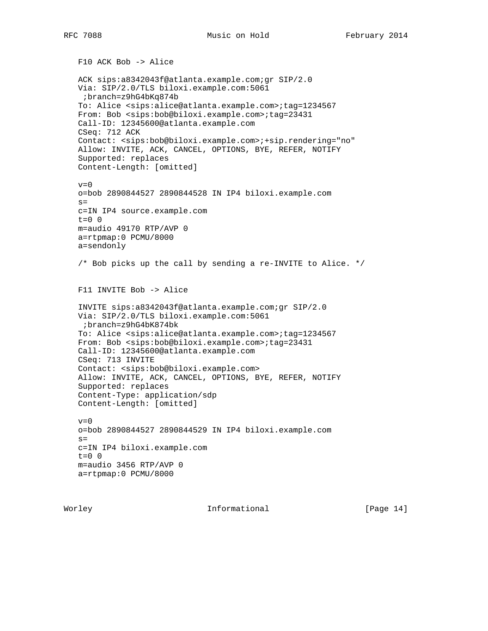F10 ACK Bob -> Alice ACK sips:a8342043f@atlanta.example.com;gr SIP/2.0 Via: SIP/2.0/TLS biloxi.example.com:5061 ;branch=z9hG4bKq874b To: Alice <sips:alice@atlanta.example.com>;tag=1234567 From: Bob <sips:bob@biloxi.example.com>;tag=23431 Call-ID: 12345600@atlanta.example.com CSeq: 712 ACK Contact: <sips:bob@biloxi.example.com>;+sip.rendering="no" Allow: INVITE, ACK, CANCEL, OPTIONS, BYE, REFER, NOTIFY Supported: replaces Content-Length: [omitted]  $v=0$  o=bob 2890844527 2890844528 IN IP4 biloxi.example.com  $s=$  c=IN IP4 source.example.com  $t=0$  0 m=audio 49170 RTP/AVP 0 a=rtpmap:0 PCMU/8000 a=sendonly /\* Bob picks up the call by sending a re-INVITE to Alice. \*/ F11 INVITE Bob -> Alice INVITE sips:a8342043f@atlanta.example.com;gr SIP/2.0 Via: SIP/2.0/TLS biloxi.example.com:5061 ;branch=z9hG4bK874bk To: Alice <sips:alice@atlanta.example.com>;tag=1234567 From: Bob <sips:bob@biloxi.example.com>;tag=23431 Call-ID: 12345600@atlanta.example.com CSeq: 713 INVITE Contact: <sips:bob@biloxi.example.com> Allow: INVITE, ACK, CANCEL, OPTIONS, BYE, REFER, NOTIFY Supported: replaces Content-Type: application/sdp Content-Length: [omitted]  $v=0$  o=bob 2890844527 2890844529 IN IP4 biloxi.example.com  $s=$  c=IN IP4 biloxi.example.com  $t=0$  0 m=audio 3456 RTP/AVP 0 a=rtpmap:0 PCMU/8000

Worley **Informational Informational** [Page 14]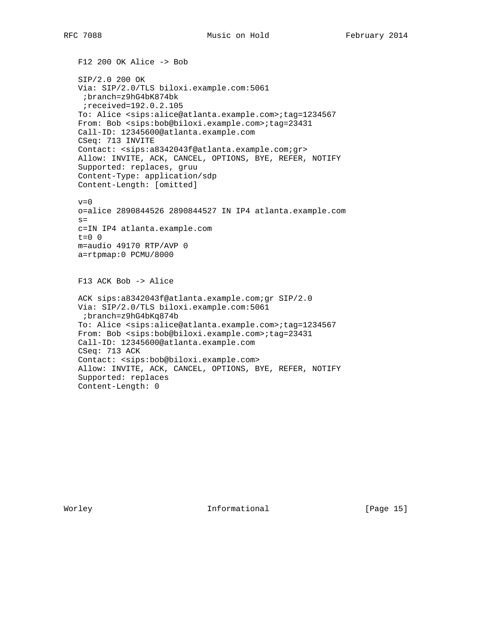F12 200 OK Alice -> Bob SIP/2.0 200 OK Via: SIP/2.0/TLS biloxi.example.com:5061 ;branch=z9hG4bK874bk ;received=192.0.2.105 To: Alice <sips:alice@atlanta.example.com>;tag=1234567 From: Bob <sips:bob@biloxi.example.com>;tag=23431 Call-ID: 12345600@atlanta.example.com CSeq: 713 INVITE Contact: <sips:a8342043f@atlanta.example.com;gr> Allow: INVITE, ACK, CANCEL, OPTIONS, BYE, REFER, NOTIFY Supported: replaces, gruu Content-Type: application/sdp Content-Length: [omitted]  $v=0$  o=alice 2890844526 2890844527 IN IP4 atlanta.example.com  $s=$  c=IN IP4 atlanta.example.com  $t=0$  0 m=audio 49170 RTP/AVP 0 a=rtpmap:0 PCMU/8000 F13 ACK Bob -> Alice ACK sips:a8342043f@atlanta.example.com;gr SIP/2.0 Via: SIP/2.0/TLS biloxi.example.com:5061 ;branch=z9hG4bKq874b To: Alice <sips:alice@atlanta.example.com>;tag=1234567 From: Bob <sips:bob@biloxi.example.com>;tag=23431 Call-ID: 12345600@atlanta.example.com CSeq: 713 ACK Contact: <sips:bob@biloxi.example.com> Allow: INVITE, ACK, CANCEL, OPTIONS, BYE, REFER, NOTIFY Supported: replaces Content-Length: 0

Worley **Informational** [Page 15]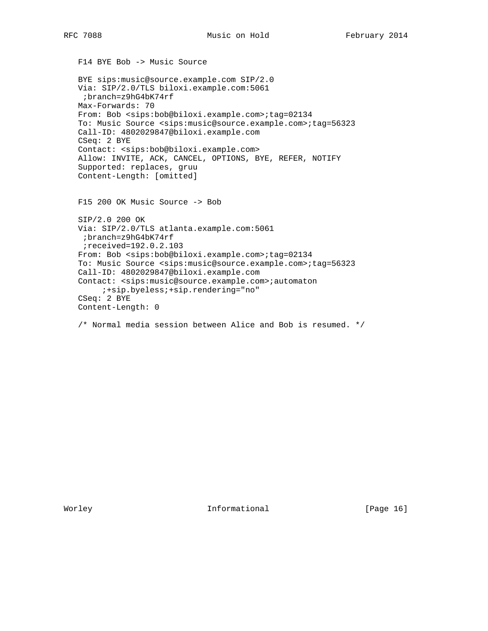F14 BYE Bob -> Music Source

 BYE sips:music@source.example.com SIP/2.0 Via: SIP/2.0/TLS biloxi.example.com:5061 ;branch=z9hG4bK74rf Max-Forwards: 70 From: Bob <sips:bob@biloxi.example.com>;tag=02134 To: Music Source <sips:music@source.example.com>;tag=56323 Call-ID: 4802029847@biloxi.example.com CSeq: 2 BYE Contact: <sips:bob@biloxi.example.com> Allow: INVITE, ACK, CANCEL, OPTIONS, BYE, REFER, NOTIFY Supported: replaces, gruu Content-Length: [omitted] F15 200 OK Music Source -> Bob SIP/2.0 200 OK Via: SIP/2.0/TLS atlanta.example.com:5061 ;branch=z9hG4bK74rf

 ;received=192.0.2.103 From: Bob <sips:bob@biloxi.example.com>;tag=02134 To: Music Source <sips:music@source.example.com>;tag=56323 Call-ID: 4802029847@biloxi.example.com Contact: <sips:music@source.example.com>;automaton ;+sip.byeless;+sip.rendering="no" CSeq: 2 BYE Content-Length: 0

/\* Normal media session between Alice and Bob is resumed. \*/

Worley **Informational** [Page 16]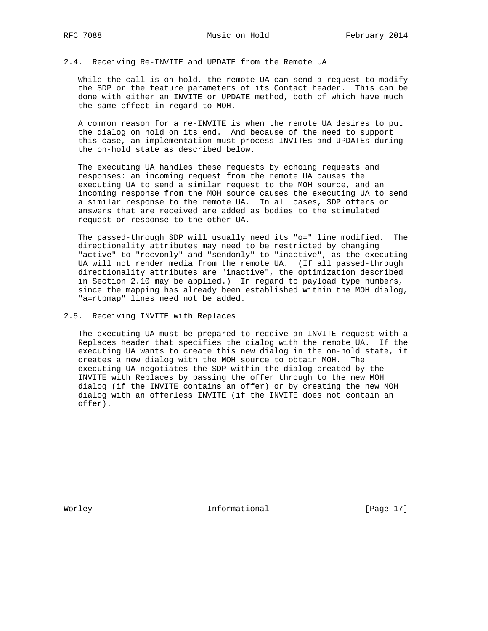# 2.4. Receiving Re-INVITE and UPDATE from the Remote UA

While the call is on hold, the remote UA can send a request to modify the SDP or the feature parameters of its Contact header. This can be done with either an INVITE or UPDATE method, both of which have much the same effect in regard to MOH.

 A common reason for a re-INVITE is when the remote UA desires to put the dialog on hold on its end. And because of the need to support this case, an implementation must process INVITEs and UPDATEs during the on-hold state as described below.

 The executing UA handles these requests by echoing requests and responses: an incoming request from the remote UA causes the executing UA to send a similar request to the MOH source, and an incoming response from the MOH source causes the executing UA to send a similar response to the remote UA. In all cases, SDP offers or answers that are received are added as bodies to the stimulated request or response to the other UA.

 The passed-through SDP will usually need its "o=" line modified. The directionality attributes may need to be restricted by changing "active" to "recvonly" and "sendonly" to "inactive", as the executing UA will not render media from the remote UA. (If all passed-through directionality attributes are "inactive", the optimization described in Section 2.10 may be applied.) In regard to payload type numbers, since the mapping has already been established within the MOH dialog, "a=rtpmap" lines need not be added.

#### 2.5. Receiving INVITE with Replaces

 The executing UA must be prepared to receive an INVITE request with a Replaces header that specifies the dialog with the remote UA. If the executing UA wants to create this new dialog in the on-hold state, it creates a new dialog with the MOH source to obtain MOH. The executing UA negotiates the SDP within the dialog created by the INVITE with Replaces by passing the offer through to the new MOH dialog (if the INVITE contains an offer) or by creating the new MOH dialog with an offerless INVITE (if the INVITE does not contain an offer).

Worley **Informational** [Page 17]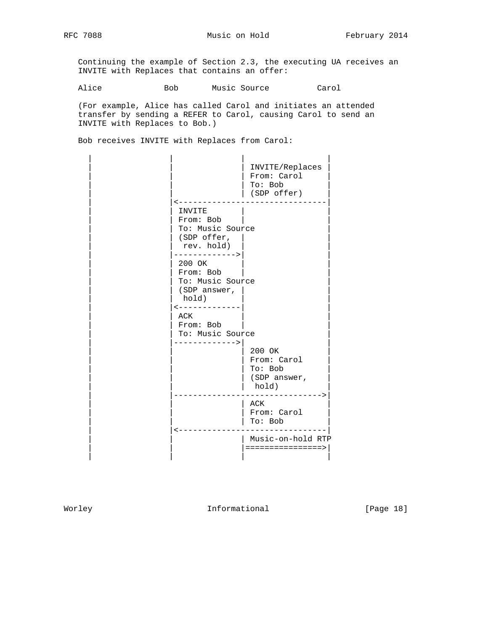RFC 7088 Music on Hold February 2014

 Continuing the example of Section 2.3, the executing UA receives an INVITE with Replaces that contains an offer:

Alice Bob Music Source Carol

 (For example, Alice has called Carol and initiates an attended transfer by sending a REFER to Carol, causing Carol to send an INVITE with Replaces to Bob.)

Bob receives INVITE with Replaces from Carol:

|                                                                                   | INVITE/Replaces<br>From: Carol<br>To: Bob<br>(SDP offer) |
|-----------------------------------------------------------------------------------|----------------------------------------------------------|
| INVITE<br>From: Bob<br>To: Music Source<br>(SDP offer,<br>rev. hold)              |                                                          |
| ------------><br>200 OK<br>From: Bob<br>To: Music Source<br>(SDP answer,<br>hold) |                                                          |
| -------------<br>ACK<br>From: Bob<br>To: Music Source<br>----------->             | 200 OK                                                   |
|                                                                                   | From: Carol<br>To: Bob<br>(SDP answer,<br>hold)          |
|                                                                                   | ACK<br>From: Carol<br>To: Bob                            |
|                                                                                   | Music-on-hold RTP<br>================>                   |

Worley **Informational** [Page 18]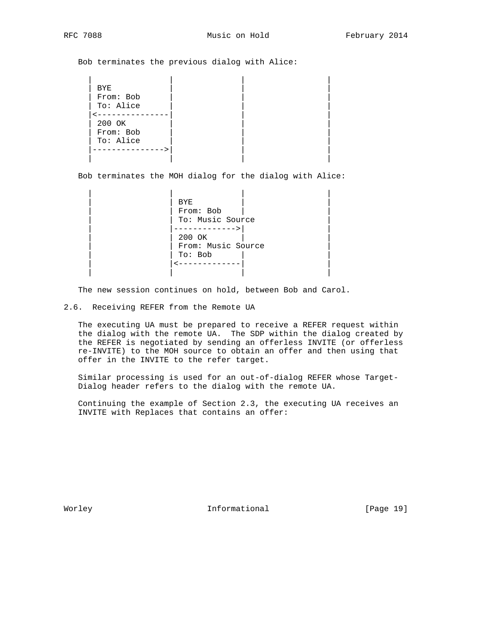Bob terminates the previous dialog with Alice:

 | | | | | BYE | | | From: Bob To: Alice  $\leftarrow$  ---------------200 OK From: Bob | To: Alice | | | |--------------->| | | | | | |

Bob terminates the MOH dialog for the dialog with Alice:

```
 | | | |
| | BYE | |
            From: Bob
           | To: Music Source
           |------------>|
            200 OK
            | | From: Music Source |
            | | To: Bob | |
            \left\{ --+------------ \right. | | | |
```
The new session continues on hold, between Bob and Carol.

2.6. Receiving REFER from the Remote UA

 The executing UA must be prepared to receive a REFER request within the dialog with the remote UA. The SDP within the dialog created by the REFER is negotiated by sending an offerless INVITE (or offerless re-INVITE) to the MOH source to obtain an offer and then using that offer in the INVITE to the refer target.

 Similar processing is used for an out-of-dialog REFER whose Target- Dialog header refers to the dialog with the remote UA.

 Continuing the example of Section 2.3, the executing UA receives an INVITE with Replaces that contains an offer:

Worley **Informational** [Page 19]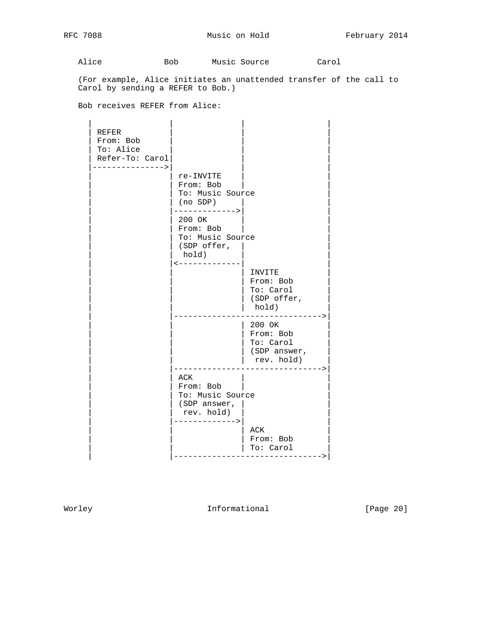Alice Bob Music Source Carol

 (For example, Alice initiates an unattended transfer of the call to Carol by sending a REFER to Bob.)

Bob receives REFER from Alice:

 | | | |  $REFER$  | From: Bob | | | To: Alice Refer-To: Carol |--------------->| | | re-INVITE From: Bob To: Music Source (no SDP) | |------------->| | 200 OK From: Bob To: Music Source | | (SDP offer, | | hold)  $\left\langle$ ------------- $\vert$  invite | | | From: Bob | | --*-*--- ---<br>| To: Carol  $|$  (SDP offer,  $|$  hold) | |------------------------------->| | 200 OK | From: Bob  $|$  To: Carol  $|$  (SDP answer, | rev. hold) | |------------------------------->|  $ACK$  | | From: Bob | | To: Music Source | | (SDP answer, | | rev. hold) | |------------->| | | | | ACK | | | | From: Bob | | To: Carol | |------------------------------->|

Worley **Informational** [Page 20]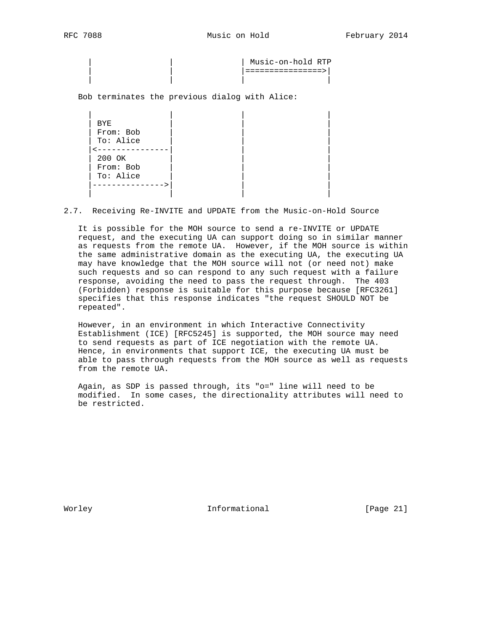| Music-on-hold RTP | | |================>| | | | |

Bob terminates the previous dialog with Alice:

 | | | | | BYE | | | | From: Bob | | | To: Alice  $\leftarrow$  --------------- | 200 OK | | | From: Bob To: Alice |--------------->| | | | | | |

2.7. Receiving Re-INVITE and UPDATE from the Music-on-Hold Source

 It is possible for the MOH source to send a re-INVITE or UPDATE request, and the executing UA can support doing so in similar manner as requests from the remote UA. However, if the MOH source is within the same administrative domain as the executing UA, the executing UA may have knowledge that the MOH source will not (or need not) make such requests and so can respond to any such request with a failure response, avoiding the need to pass the request through. The 403 (Forbidden) response is suitable for this purpose because [RFC3261] specifies that this response indicates "the request SHOULD NOT be repeated".

 However, in an environment in which Interactive Connectivity Establishment (ICE) [RFC5245] is supported, the MOH source may need to send requests as part of ICE negotiation with the remote UA. Hence, in environments that support ICE, the executing UA must be able to pass through requests from the MOH source as well as requests from the remote UA.

 Again, as SDP is passed through, its "o=" line will need to be modified. In some cases, the directionality attributes will need to be restricted.

Worley **Informational** [Page 21]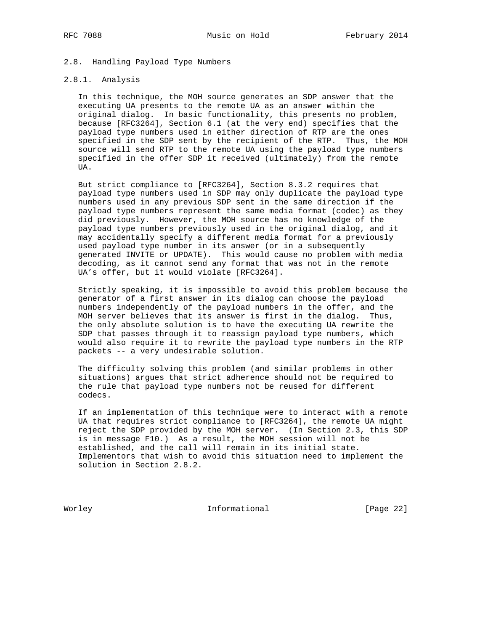# 2.8. Handling Payload Type Numbers

# 2.8.1. Analysis

 In this technique, the MOH source generates an SDP answer that the executing UA presents to the remote UA as an answer within the original dialog. In basic functionality, this presents no problem, because [RFC3264], Section 6.1 (at the very end) specifies that the payload type numbers used in either direction of RTP are the ones specified in the SDP sent by the recipient of the RTP. Thus, the MOH source will send RTP to the remote UA using the payload type numbers specified in the offer SDP it received (ultimately) from the remote UA.

 But strict compliance to [RFC3264], Section 8.3.2 requires that payload type numbers used in SDP may only duplicate the payload type numbers used in any previous SDP sent in the same direction if the payload type numbers represent the same media format (codec) as they did previously. However, the MOH source has no knowledge of the payload type numbers previously used in the original dialog, and it may accidentally specify a different media format for a previously used payload type number in its answer (or in a subsequently generated INVITE or UPDATE). This would cause no problem with media decoding, as it cannot send any format that was not in the remote UA's offer, but it would violate [RFC3264].

 Strictly speaking, it is impossible to avoid this problem because the generator of a first answer in its dialog can choose the payload numbers independently of the payload numbers in the offer, and the MOH server believes that its answer is first in the dialog. Thus, the only absolute solution is to have the executing UA rewrite the SDP that passes through it to reassign payload type numbers, which would also require it to rewrite the payload type numbers in the RTP packets -- a very undesirable solution.

 The difficulty solving this problem (and similar problems in other situations) argues that strict adherence should not be required to the rule that payload type numbers not be reused for different codecs.

 If an implementation of this technique were to interact with a remote UA that requires strict compliance to [RFC3264], the remote UA might reject the SDP provided by the MOH server. (In Section 2.3, this SDP is in message F10.) As a result, the MOH session will not be established, and the call will remain in its initial state. Implementors that wish to avoid this situation need to implement the solution in Section 2.8.2.

Worley **Informational** [Page 22]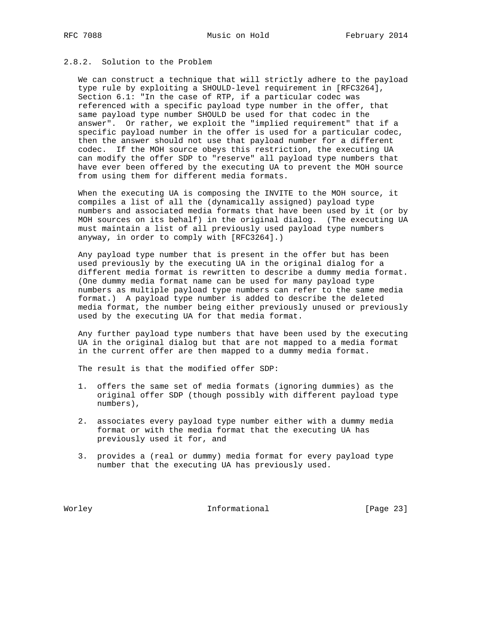# 2.8.2. Solution to the Problem

 We can construct a technique that will strictly adhere to the payload type rule by exploiting a SHOULD-level requirement in [RFC3264], Section 6.1: "In the case of RTP, if a particular codec was referenced with a specific payload type number in the offer, that same payload type number SHOULD be used for that codec in the answer". Or rather, we exploit the "implied requirement" that if a specific payload number in the offer is used for a particular codec, then the answer should not use that payload number for a different codec. If the MOH source obeys this restriction, the executing UA can modify the offer SDP to "reserve" all payload type numbers that have ever been offered by the executing UA to prevent the MOH source from using them for different media formats.

 When the executing UA is composing the INVITE to the MOH source, it compiles a list of all the (dynamically assigned) payload type numbers and associated media formats that have been used by it (or by MOH sources on its behalf) in the original dialog. (The executing UA must maintain a list of all previously used payload type numbers anyway, in order to comply with [RFC3264].)

 Any payload type number that is present in the offer but has been used previously by the executing UA in the original dialog for a different media format is rewritten to describe a dummy media format. (One dummy media format name can be used for many payload type numbers as multiple payload type numbers can refer to the same media format.) A payload type number is added to describe the deleted media format, the number being either previously unused or previously used by the executing UA for that media format.

 Any further payload type numbers that have been used by the executing UA in the original dialog but that are not mapped to a media format in the current offer are then mapped to a dummy media format.

The result is that the modified offer SDP:

- 1. offers the same set of media formats (ignoring dummies) as the original offer SDP (though possibly with different payload type numbers),
- 2. associates every payload type number either with a dummy media format or with the media format that the executing UA has previously used it for, and
- 3. provides a (real or dummy) media format for every payload type number that the executing UA has previously used.

Worley **Informational** [Page 23]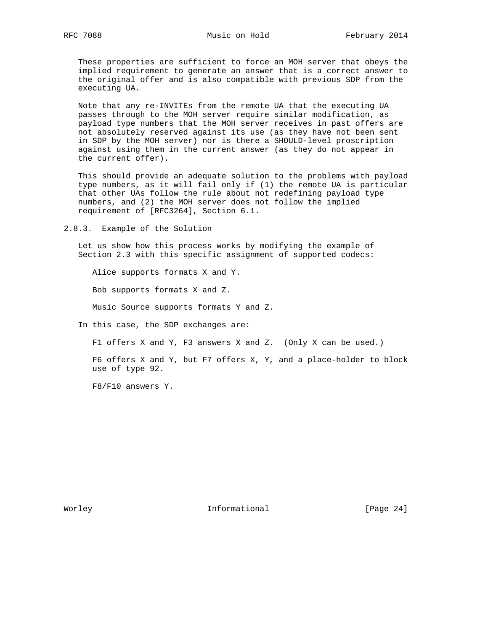These properties are sufficient to force an MOH server that obeys the implied requirement to generate an answer that is a correct answer to the original offer and is also compatible with previous SDP from the executing UA.

 Note that any re-INVITEs from the remote UA that the executing UA passes through to the MOH server require similar modification, as payload type numbers that the MOH server receives in past offers are not absolutely reserved against its use (as they have not been sent in SDP by the MOH server) nor is there a SHOULD-level proscription against using them in the current answer (as they do not appear in the current offer).

 This should provide an adequate solution to the problems with payload type numbers, as it will fail only if (1) the remote UA is particular that other UAs follow the rule about not redefining payload type numbers, and (2) the MOH server does not follow the implied requirement of [RFC3264], Section 6.1.

2.8.3. Example of the Solution

 Let us show how this process works by modifying the example of Section 2.3 with this specific assignment of supported codecs:

Alice supports formats X and Y.

Bob supports formats X and Z.

Music Source supports formats Y and Z.

In this case, the SDP exchanges are:

F1 offers X and Y, F3 answers X and Z. (Only X can be used.)

 F6 offers X and Y, but F7 offers X, Y, and a place-holder to block use of type 92.

F8/F10 answers Y.

Worley **Informational** [Page 24]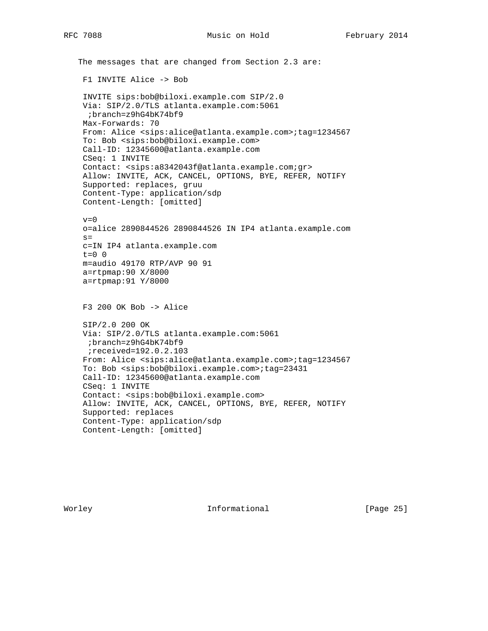The messages that are changed from Section 2.3 are: F1 INVITE Alice -> Bob INVITE sips:bob@biloxi.example.com SIP/2.0 Via: SIP/2.0/TLS atlanta.example.com:5061 ;branch=z9hG4bK74bf9 Max-Forwards: 70 From: Alice <sips:alice@atlanta.example.com>;tag=1234567 To: Bob <sips:bob@biloxi.example.com> Call-ID: 12345600@atlanta.example.com CSeq: 1 INVITE Contact: <sips:a8342043f@atlanta.example.com;gr> Allow: INVITE, ACK, CANCEL, OPTIONS, BYE, REFER, NOTIFY Supported: replaces, gruu Content-Type: application/sdp Content-Length: [omitted]  $v=0$  o=alice 2890844526 2890844526 IN IP4 atlanta.example.com  $s=$  c=IN IP4 atlanta.example.com  $t=0$  0 m=audio 49170 RTP/AVP 90 91 a=rtpmap:90 X/8000 a=rtpmap:91 Y/8000 F3 200 OK Bob -> Alice SIP/2.0 200 OK Via: SIP/2.0/TLS atlanta.example.com:5061 ;branch=z9hG4bK74bf9 ;received=192.0.2.103 From: Alice <sips:alice@atlanta.example.com>;tag=1234567 To: Bob <sips:bob@biloxi.example.com>;tag=23431 Call-ID: 12345600@atlanta.example.com CSeq: 1 INVITE Contact: <sips:bob@biloxi.example.com> Allow: INVITE, ACK, CANCEL, OPTIONS, BYE, REFER, NOTIFY Supported: replaces Content-Type: application/sdp Content-Length: [omitted]

Worley **Informational** [Page 25]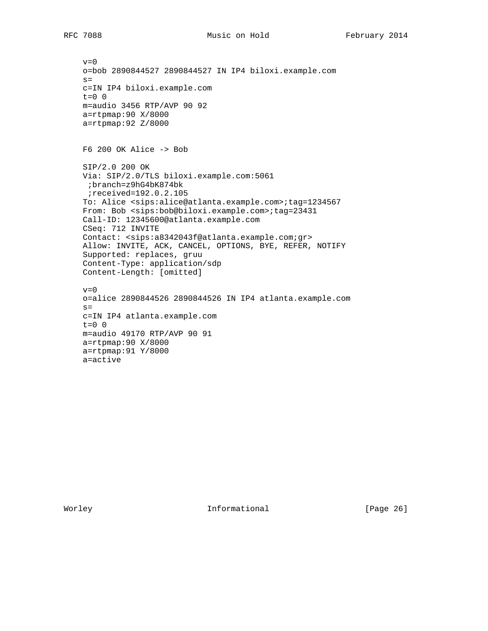$v=0$  o=bob 2890844527 2890844527 IN IP4 biloxi.example.com  $s=$  c=IN IP4 biloxi.example.com t=0 0 m=audio 3456 RTP/AVP 90 92 a=rtpmap:90 X/8000 a=rtpmap:92 Z/8000 F6 200 OK Alice -> Bob SIP/2.0 200 OK Via: SIP/2.0/TLS biloxi.example.com:5061 ;branch=z9hG4bK874bk ;received=192.0.2.105 To: Alice <sips:alice@atlanta.example.com>;tag=1234567 From: Bob <sips:bob@biloxi.example.com>;tag=23431 Call-ID: 12345600@atlanta.example.com CSeq: 712 INVITE Contact: <sips:a8342043f@atlanta.example.com;gr> Allow: INVITE, ACK, CANCEL, OPTIONS, BYE, REFER, NOTIFY Supported: replaces, gruu Content-Type: application/sdp Content-Length: [omitted]  $v=0$  o=alice 2890844526 2890844526 IN IP4 atlanta.example.com  $s=$  c=IN IP4 atlanta.example.com  $t=0$  0 m=audio 49170 RTP/AVP 90 91 a=rtpmap:90 X/8000 a=rtpmap:91 Y/8000 a=active

Worley **Informational** [Page 26]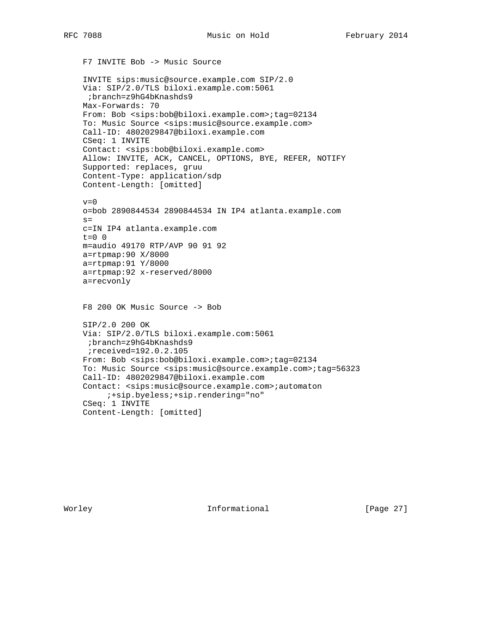F7 INVITE Bob -> Music Source INVITE sips:music@source.example.com SIP/2.0 Via: SIP/2.0/TLS biloxi.example.com:5061 ;branch=z9hG4bKnashds9 Max-Forwards: 70 From: Bob <sips:bob@biloxi.example.com>;tag=02134 To: Music Source <sips:music@source.example.com> Call-ID: 4802029847@biloxi.example.com CSeq: 1 INVITE Contact: <sips:bob@biloxi.example.com> Allow: INVITE, ACK, CANCEL, OPTIONS, BYE, REFER, NOTIFY Supported: replaces, gruu Content-Type: application/sdp Content-Length: [omitted]  $v=0$  o=bob 2890844534 2890844534 IN IP4 atlanta.example.com  $s=$  c=IN IP4 atlanta.example.com  $t=0$  0 m=audio 49170 RTP/AVP 90 91 92 a=rtpmap:90 X/8000 a=rtpmap:91 Y/8000 a=rtpmap:92 x-reserved/8000 a=recvonly F8 200 OK Music Source -> Bob SIP/2.0 200 OK Via: SIP/2.0/TLS biloxi.example.com:5061 ;branch=z9hG4bKnashds9 ;received=192.0.2.105 From: Bob <sips:bob@biloxi.example.com>;tag=02134 To: Music Source <sips:music@source.example.com>;tag=56323 Call-ID: 4802029847@biloxi.example.com Contact: <sips:music@source.example.com>;automaton ;+sip.byeless;+sip.rendering="no" CSeq: 1 INVITE Content-Length: [omitted]

Worley **Informational Informational** [Page 27]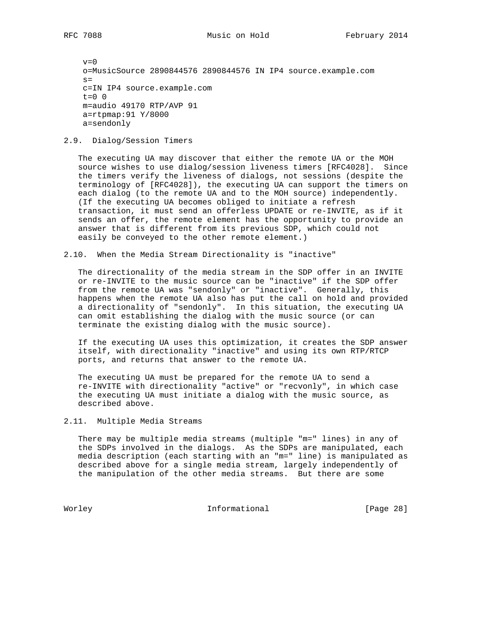$v=0$  o=MusicSource 2890844576 2890844576 IN IP4 source.example.com  $s=$  c=IN IP4 source.example.com  $t=0$  0 m=audio 49170 RTP/AVP 91 a=rtpmap:91 Y/8000 a=sendonly

# 2.9. Dialog/Session Timers

 The executing UA may discover that either the remote UA or the MOH source wishes to use dialog/session liveness timers [RFC4028]. Since the timers verify the liveness of dialogs, not sessions (despite the terminology of [RFC4028]), the executing UA can support the timers on each dialog (to the remote UA and to the MOH source) independently. (If the executing UA becomes obliged to initiate a refresh transaction, it must send an offerless UPDATE or re-INVITE, as if it sends an offer, the remote element has the opportunity to provide an answer that is different from its previous SDP, which could not easily be conveyed to the other remote element.)

2.10. When the Media Stream Directionality is "inactive"

 The directionality of the media stream in the SDP offer in an INVITE or re-INVITE to the music source can be "inactive" if the SDP offer from the remote UA was "sendonly" or "inactive". Generally, this happens when the remote UA also has put the call on hold and provided a directionality of "sendonly". In this situation, the executing UA can omit establishing the dialog with the music source (or can terminate the existing dialog with the music source).

 If the executing UA uses this optimization, it creates the SDP answer itself, with directionality "inactive" and using its own RTP/RTCP ports, and returns that answer to the remote UA.

 The executing UA must be prepared for the remote UA to send a re-INVITE with directionality "active" or "recvonly", in which case the executing UA must initiate a dialog with the music source, as described above.

# 2.11. Multiple Media Streams

 There may be multiple media streams (multiple "m=" lines) in any of the SDPs involved in the dialogs. As the SDPs are manipulated, each media description (each starting with an "m=" line) is manipulated as described above for a single media stream, largely independently of the manipulation of the other media streams. But there are some

Worley **Informational** [Page 28]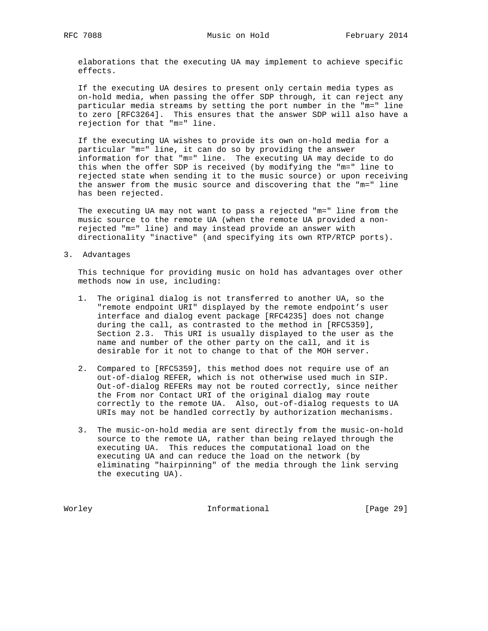elaborations that the executing UA may implement to achieve specific effects.

 If the executing UA desires to present only certain media types as on-hold media, when passing the offer SDP through, it can reject any particular media streams by setting the port number in the "m=" line to zero [RFC3264]. This ensures that the answer SDP will also have a rejection for that "m=" line.

 If the executing UA wishes to provide its own on-hold media for a particular "m=" line, it can do so by providing the answer information for that "m=" line. The executing UA may decide to do this when the offer SDP is received (by modifying the "m=" line to rejected state when sending it to the music source) or upon receiving the answer from the music source and discovering that the "m=" line has been rejected.

 The executing UA may not want to pass a rejected "m=" line from the music source to the remote UA (when the remote UA provided a non rejected "m=" line) and may instead provide an answer with directionality "inactive" (and specifying its own RTP/RTCP ports).

3. Advantages

 This technique for providing music on hold has advantages over other methods now in use, including:

- 1. The original dialog is not transferred to another UA, so the "remote endpoint URI" displayed by the remote endpoint's user interface and dialog event package [RFC4235] does not change during the call, as contrasted to the method in [RFC5359], Section 2.3. This URI is usually displayed to the user as the name and number of the other party on the call, and it is desirable for it not to change to that of the MOH server.
- 2. Compared to [RFC5359], this method does not require use of an out-of-dialog REFER, which is not otherwise used much in SIP. Out-of-dialog REFERs may not be routed correctly, since neither the From nor Contact URI of the original dialog may route correctly to the remote UA. Also, out-of-dialog requests to UA URIs may not be handled correctly by authorization mechanisms.
- 3. The music-on-hold media are sent directly from the music-on-hold source to the remote UA, rather than being relayed through the executing UA. This reduces the computational load on the executing UA and can reduce the load on the network (by eliminating "hairpinning" of the media through the link serving the executing UA).

Worley **Informational** [Page 29]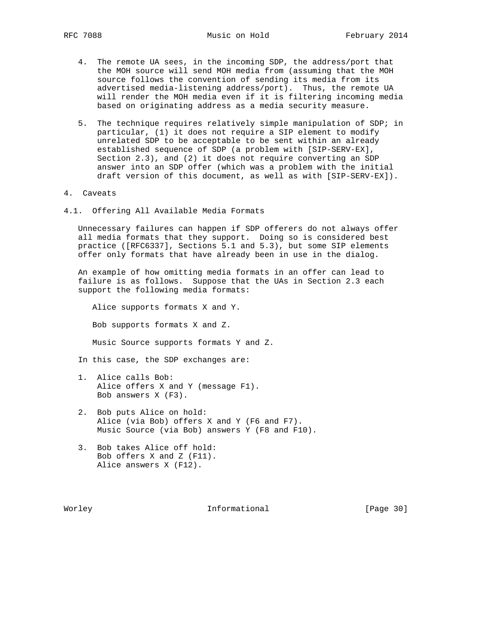- 4. The remote UA sees, in the incoming SDP, the address/port that the MOH source will send MOH media from (assuming that the MOH source follows the convention of sending its media from its advertised media-listening address/port). Thus, the remote UA will render the MOH media even if it is filtering incoming media based on originating address as a media security measure.
- 5. The technique requires relatively simple manipulation of SDP; in particular, (1) it does not require a SIP element to modify unrelated SDP to be acceptable to be sent within an already established sequence of SDP (a problem with [SIP-SERV-EX], Section 2.3), and (2) it does not require converting an SDP answer into an SDP offer (which was a problem with the initial draft version of this document, as well as with [SIP-SERV-EX]).
- 4. Caveats
- 4.1. Offering All Available Media Formats

 Unnecessary failures can happen if SDP offerers do not always offer all media formats that they support. Doing so is considered best practice ([RFC6337], Sections 5.1 and 5.3), but some SIP elements offer only formats that have already been in use in the dialog.

 An example of how omitting media formats in an offer can lead to failure is as follows. Suppose that the UAs in Section 2.3 each support the following media formats:

 Alice supports formats X and Y. Bob supports formats X and Z. Music Source supports formats Y and Z.

In this case, the SDP exchanges are:

- 1. Alice calls Bob: Alice offers X and Y (message F1). Bob answers X (F3).
- 2. Bob puts Alice on hold: Alice (via Bob) offers X and Y (F6 and F7). Music Source (via Bob) answers Y (F8 and F10).
- 3. Bob takes Alice off hold: Bob offers X and Z (F11). Alice answers X (F12).

Worley **Informational** [Page 30]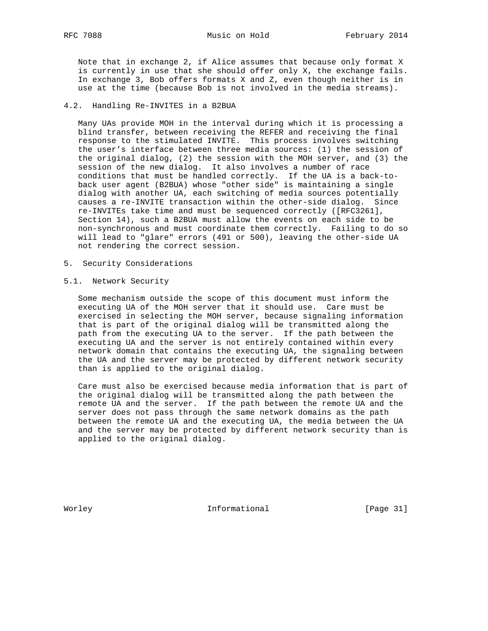Note that in exchange 2, if Alice assumes that because only format X is currently in use that she should offer only X, the exchange fails. In exchange 3, Bob offers formats X and Z, even though neither is in use at the time (because Bob is not involved in the media streams).

# 4.2. Handling Re-INVITES in a B2BUA

 Many UAs provide MOH in the interval during which it is processing a blind transfer, between receiving the REFER and receiving the final response to the stimulated INVITE. This process involves switching the user's interface between three media sources: (1) the session of the original dialog, (2) the session with the MOH server, and (3) the session of the new dialog. It also involves a number of race conditions that must be handled correctly. If the UA is a back-to back user agent (B2BUA) whose "other side" is maintaining a single dialog with another UA, each switching of media sources potentially causes a re-INVITE transaction within the other-side dialog. Since re-INVITEs take time and must be sequenced correctly ([RFC3261], Section 14), such a B2BUA must allow the events on each side to be non-synchronous and must coordinate them correctly. Failing to do so will lead to "glare" errors (491 or 500), leaving the other-side UA not rendering the correct session.

- 5. Security Considerations
- 5.1. Network Security

 Some mechanism outside the scope of this document must inform the executing UA of the MOH server that it should use. Care must be exercised in selecting the MOH server, because signaling information that is part of the original dialog will be transmitted along the path from the executing UA to the server. If the path between the executing UA and the server is not entirely contained within every network domain that contains the executing UA, the signaling between the UA and the server may be protected by different network security than is applied to the original dialog.

 Care must also be exercised because media information that is part of the original dialog will be transmitted along the path between the remote UA and the server. If the path between the remote UA and the server does not pass through the same network domains as the path between the remote UA and the executing UA, the media between the UA and the server may be protected by different network security than is applied to the original dialog.

Worley **Informational** [Page 31]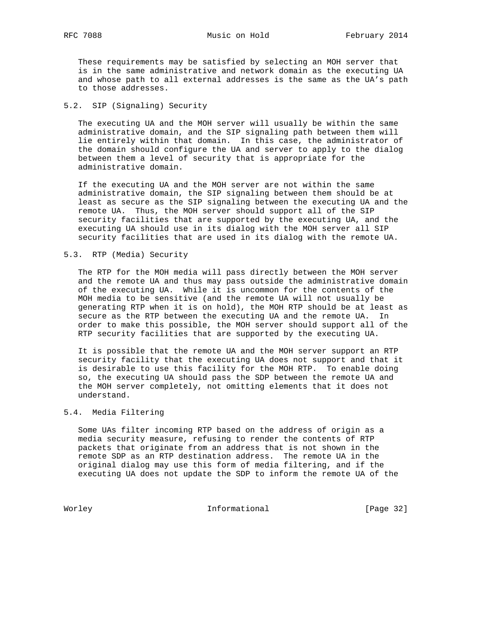These requirements may be satisfied by selecting an MOH server that is in the same administrative and network domain as the executing UA and whose path to all external addresses is the same as the UA's path to those addresses.

# 5.2. SIP (Signaling) Security

 The executing UA and the MOH server will usually be within the same administrative domain, and the SIP signaling path between them will lie entirely within that domain. In this case, the administrator of the domain should configure the UA and server to apply to the dialog between them a level of security that is appropriate for the administrative domain.

 If the executing UA and the MOH server are not within the same administrative domain, the SIP signaling between them should be at least as secure as the SIP signaling between the executing UA and the remote UA. Thus, the MOH server should support all of the SIP security facilities that are supported by the executing UA, and the executing UA should use in its dialog with the MOH server all SIP security facilities that are used in its dialog with the remote UA.

#### 5.3. RTP (Media) Security

 The RTP for the MOH media will pass directly between the MOH server and the remote UA and thus may pass outside the administrative domain of the executing UA. While it is uncommon for the contents of the MOH media to be sensitive (and the remote UA will not usually be generating RTP when it is on hold), the MOH RTP should be at least as secure as the RTP between the executing UA and the remote UA. In order to make this possible, the MOH server should support all of the RTP security facilities that are supported by the executing UA.

 It is possible that the remote UA and the MOH server support an RTP security facility that the executing UA does not support and that it is desirable to use this facility for the MOH RTP. To enable doing so, the executing UA should pass the SDP between the remote UA and the MOH server completely, not omitting elements that it does not understand.

# 5.4. Media Filtering

 Some UAs filter incoming RTP based on the address of origin as a media security measure, refusing to render the contents of RTP packets that originate from an address that is not shown in the remote SDP as an RTP destination address. The remote UA in the original dialog may use this form of media filtering, and if the executing UA does not update the SDP to inform the remote UA of the

Worley **Informational** [Page 32]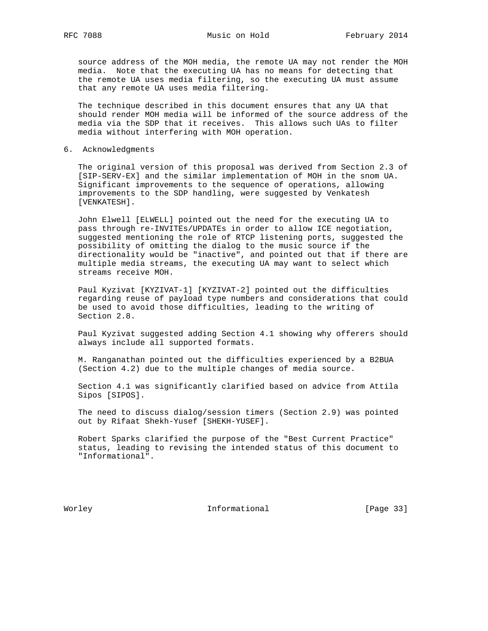source address of the MOH media, the remote UA may not render the MOH media. Note that the executing UA has no means for detecting that the remote UA uses media filtering, so the executing UA must assume that any remote UA uses media filtering.

 The technique described in this document ensures that any UA that should render MOH media will be informed of the source address of the media via the SDP that it receives. This allows such UAs to filter media without interfering with MOH operation.

6. Acknowledgments

 The original version of this proposal was derived from Section 2.3 of [SIP-SERV-EX] and the similar implementation of MOH in the snom UA. Significant improvements to the sequence of operations, allowing improvements to the SDP handling, were suggested by Venkatesh [VENKATESH].

 John Elwell [ELWELL] pointed out the need for the executing UA to pass through re-INVITEs/UPDATEs in order to allow ICE negotiation, suggested mentioning the role of RTCP listening ports, suggested the possibility of omitting the dialog to the music source if the directionality would be "inactive", and pointed out that if there are multiple media streams, the executing UA may want to select which streams receive MOH.

 Paul Kyzivat [KYZIVAT-1] [KYZIVAT-2] pointed out the difficulties regarding reuse of payload type numbers and considerations that could be used to avoid those difficulties, leading to the writing of Section 2.8.

 Paul Kyzivat suggested adding Section 4.1 showing why offerers should always include all supported formats.

 M. Ranganathan pointed out the difficulties experienced by a B2BUA (Section 4.2) due to the multiple changes of media source.

 Section 4.1 was significantly clarified based on advice from Attila Sipos [SIPOS].

 The need to discuss dialog/session timers (Section 2.9) was pointed out by Rifaat Shekh-Yusef [SHEKH-YUSEF].

 Robert Sparks clarified the purpose of the "Best Current Practice" status, leading to revising the intended status of this document to "Informational".

Worley **Informational** [Page 33]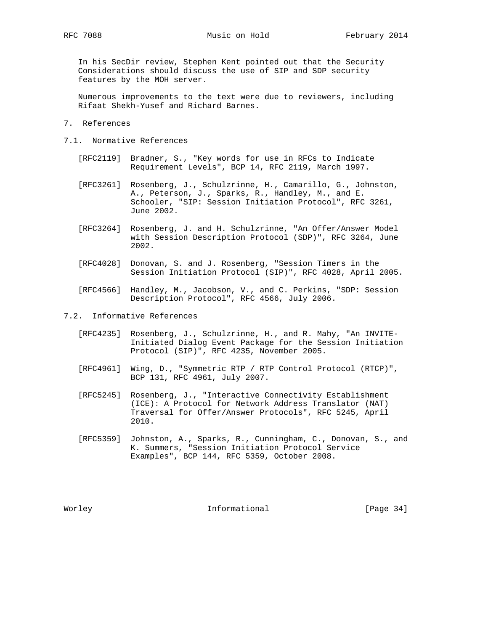In his SecDir review, Stephen Kent pointed out that the Security Considerations should discuss the use of SIP and SDP security features by the MOH server.

 Numerous improvements to the text were due to reviewers, including Rifaat Shekh-Yusef and Richard Barnes.

- 7. References
- 7.1. Normative References
	- [RFC2119] Bradner, S., "Key words for use in RFCs to Indicate Requirement Levels", BCP 14, RFC 2119, March 1997.
	- [RFC3261] Rosenberg, J., Schulzrinne, H., Camarillo, G., Johnston, A., Peterson, J., Sparks, R., Handley, M., and E. Schooler, "SIP: Session Initiation Protocol", RFC 3261, June 2002.
	- [RFC3264] Rosenberg, J. and H. Schulzrinne, "An Offer/Answer Model with Session Description Protocol (SDP)", RFC 3264, June 2002.
	- [RFC4028] Donovan, S. and J. Rosenberg, "Session Timers in the Session Initiation Protocol (SIP)", RFC 4028, April 2005.
	- [RFC4566] Handley, M., Jacobson, V., and C. Perkins, "SDP: Session Description Protocol", RFC 4566, July 2006.
- 7.2. Informative References
	- [RFC4235] Rosenberg, J., Schulzrinne, H., and R. Mahy, "An INVITE- Initiated Dialog Event Package for the Session Initiation Protocol (SIP)", RFC 4235, November 2005.
	- [RFC4961] Wing, D., "Symmetric RTP / RTP Control Protocol (RTCP)", BCP 131, RFC 4961, July 2007.
	- [RFC5245] Rosenberg, J., "Interactive Connectivity Establishment (ICE): A Protocol for Network Address Translator (NAT) Traversal for Offer/Answer Protocols", RFC 5245, April 2010.
	- [RFC5359] Johnston, A., Sparks, R., Cunningham, C., Donovan, S., and K. Summers, "Session Initiation Protocol Service Examples", BCP 144, RFC 5359, October 2008.

Worley **Informational** [Page 34]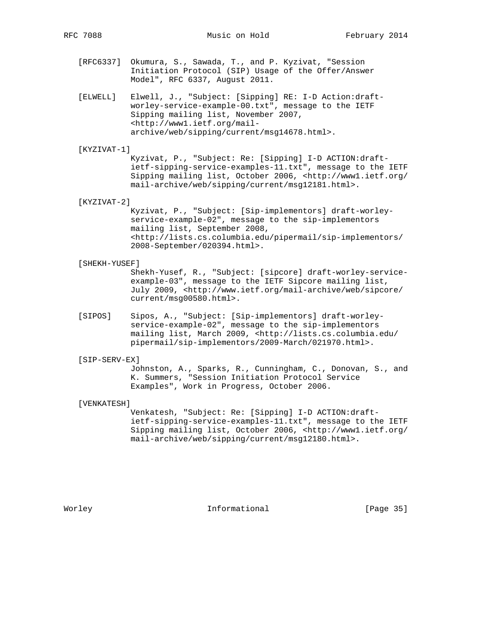- [RFC6337] Okumura, S., Sawada, T., and P. Kyzivat, "Session Initiation Protocol (SIP) Usage of the Offer/Answer Model", RFC 6337, August 2011.
- [ELWELL] Elwell, J., "Subject: [Sipping] RE: I-D Action:draft worley-service-example-00.txt", message to the IETF Sipping mailing list, November 2007, <http://www1.ietf.org/mail archive/web/sipping/current/msg14678.html>.

#### [KYZIVAT-1]

 Kyzivat, P., "Subject: Re: [Sipping] I-D ACTION:draft ietf-sipping-service-examples-11.txt", message to the IETF Sipping mailing list, October 2006, <http://www1.ietf.org/ mail-archive/web/sipping/current/msg12181.html>.

#### [KYZIVAT-2]

 Kyzivat, P., "Subject: [Sip-implementors] draft-worley service-example-02", message to the sip-implementors mailing list, September 2008, <http://lists.cs.columbia.edu/pipermail/sip-implementors/ 2008-September/020394.html>.

#### [SHEKH-YUSEF]

 Shekh-Yusef, R., "Subject: [sipcore] draft-worley-service example-03", message to the IETF Sipcore mailing list, July 2009, <http://www.ietf.org/mail-archive/web/sipcore/ current/msg00580.html>.

 [SIPOS] Sipos, A., "Subject: [Sip-implementors] draft-worley service-example-02", message to the sip-implementors mailing list, March 2009, <http://lists.cs.columbia.edu/ pipermail/sip-implementors/2009-March/021970.html>.

#### [SIP-SERV-EX]

 Johnston, A., Sparks, R., Cunningham, C., Donovan, S., and K. Summers, "Session Initiation Protocol Service Examples", Work in Progress, October 2006.

#### [VENKATESH]

 Venkatesh, "Subject: Re: [Sipping] I-D ACTION:draft ietf-sipping-service-examples-11.txt", message to the IETF Sipping mailing list, October 2006, <http://www1.ietf.org/ mail-archive/web/sipping/current/msg12180.html>.

Worley **Informational** [Page 35]